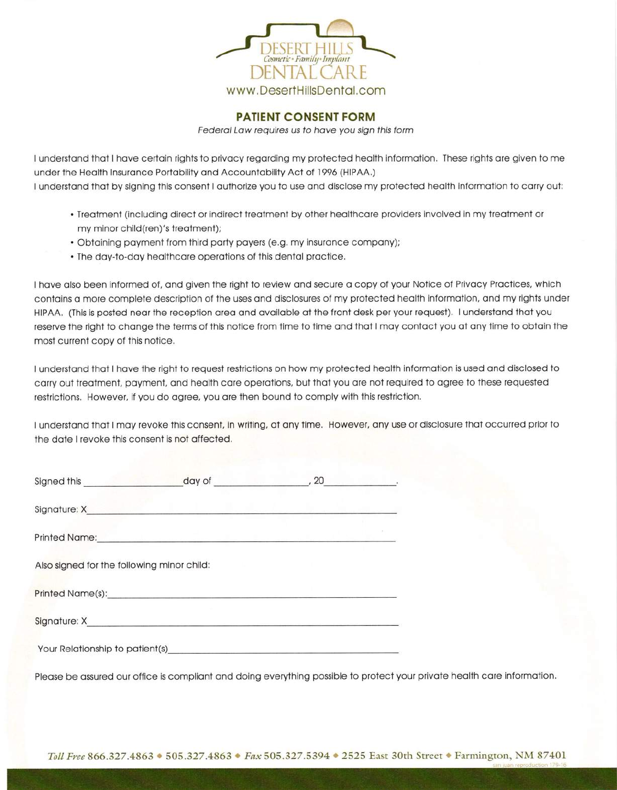

PATIENT CONSENT FORM

Federal Law requires us to have you sign this form

I understand that I have certain rights to privacy regarding my protected health information. These rights are given to me under the Health Insurance Portability and Accountability Act of 1996 (HIPAA.) I understand that by signing this consent I authorize you to use and disclose my protected health information to carry out:

- . Treotment (including direct or indirect treotmenl by other heolthcore providers involved in my treotment or my minor child(ren)'s treotment);
- . Obtoining poyment from third porty poyers (e.9. my insuronce compony);
- . The doy-to-doy heolthcore operotions of this dentol proctice,

<sup>I</sup>hove olso been informed of, ond given the right to review ond secure o copy of your Notice of Privocy Proctices, which contains a more complete description of the uses and disclosures of my protected health information, and my rights under HIPAA. (This is posted near the reception area and available at the front desk per your request). I understand that you reserve the right to change the terms of this notice from time to time and that I may contact you at any time to obtain the most current copy of this notice.

<sup>I</sup>understond thot I hove the right to request restrictions on how my protected heolth informotion ls used ond disclosed to carry out treatment, payment, and health care operations, but that you are not required to agree to these requested restrictions. However, if you do ogree, you ore then bound to comply with this restriction,

<sup>I</sup>understond thot I moy revoke this consent, in wriling, ot ony time. However. ony use or disclosure thot occurred prior to the dote I revoke this consent is not offected,

| Signed this and the state of the state of the state of the state of the state of the state of the state of the |                                                                                                                                                                                                                                |  |
|----------------------------------------------------------------------------------------------------------------|--------------------------------------------------------------------------------------------------------------------------------------------------------------------------------------------------------------------------------|--|
|                                                                                                                |                                                                                                                                                                                                                                |  |
|                                                                                                                | Printed Name: Name: Name: Name: Name: Name: Name: Name: Name: Name: Name: Name: Name: Name: Name: Name: Name: Name: Name: Name: Name: Name: Name: Name: Name: Name: Name: Name: Name: Name: Name: Name: Name: Name: Name: Name |  |
| Also signed for the following minor child:                                                                     |                                                                                                                                                                                                                                |  |
|                                                                                                                | Printed Name(s): example and a series of the series of the series of the series of the series of the series of                                                                                                                 |  |
|                                                                                                                |                                                                                                                                                                                                                                |  |
|                                                                                                                | Your Relationship to patient(s) example and the contract of the contract of the contract of the contract of the contract of the contract of the contract of the contract of the contract of the contract of the contract of th |  |

Please be assured our office is compliant and doing everything possible to protect your private health care information.